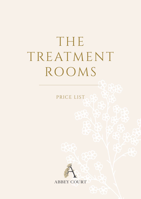# THE TREATMENT ROOMS

PRICE LIST

प्Y



**ABBEY COURT**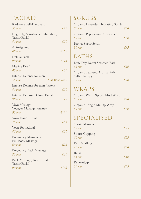# FACIALS

| Radiance Self-Discovery<br>$55 \text{ min}$                              | £7.5           |
|--------------------------------------------------------------------------|----------------|
| Dry, Oily, Sensitive (combination)<br><b>Taster Facial</b><br>$40$ min   |                |
| Anti-Ageing<br>$80 \; \mathrm{min}$                                      | €50<br>£100    |
| Deluxe Facial<br>$90 \text{ min}$                                        | €115           |
| Marine Eye<br>$40$ min                                                   | $\epsilon$ 55  |
| Intense Defense for men<br>$55 \text{ min}$<br>$\epsilon$ 80 With leaves |                |
| Intense Defense for men (taster)<br>$40$ min                             | E50            |
| <b>Intense Defense Deluxe Facial</b><br><b>90 min</b>                    | £115           |
| Voya Massage<br>Voyager Massage Journey<br>$90 \text{ min}$              | £120           |
| Voya Hand Ritual<br>$45$ min                                             | £55            |
| Voya Foot Ritual<br>$45$ min                                             | £55            |
| Pregnancy Massage -<br><b>Full Body Massage</b><br>60 min                | £7.5           |
| <b>Pregnancy Back Massage</b><br>$30 \text{ min}$                        | €40            |
| Back Massage, Foot Ritual,<br><b>Taster Facial</b>                       |                |
| $90 \text{ min}$                                                         | $\epsilon$ 105 |

# SCRUBS

| Organic Lavender Hydrating Scrub |     |
|----------------------------------|-----|
| $60$ min                         | €60 |
| Organic Peppermint & Seaweed     |     |
| $60 \text{ min}$                 | €60 |
| <b>Brown Sugar Scrub</b>         |     |
| $30 \text{ min}$                 | €35 |
|                                  |     |

### BATHS

| Lazy Day Detox Seaweed Bath |     |
|-----------------------------|-----|
| $45 \,\mathrm{min}$         | €50 |
| Organic Seaweed Aroma Bath  |     |
| <b>Salts Therapy</b>        |     |

| раня тистару     |     |
|------------------|-----|
| $45 \text{ min}$ | £50 |
|                  |     |

#### WRAPS

| Organic Warm Spiced Mud Wrap |               |
|------------------------------|---------------|
| $60 \text{ min}$             | $\epsilon$ 70 |

Organic Tangle Me Up Wrap *60 min €70*

#### SPECIALISED

| <b>Sports Massage</b><br>$50 \text{ min}$ | €55 |
|-------------------------------------------|-----|
| <b>Sports Cupping</b><br>$50 \text{ min}$ | €55 |
| Ear Candling<br>$40$ min                  | €50 |
| Reiki<br>$45 \text{ min}$                 | €50 |
| Reflexology<br>$50$ min                   |     |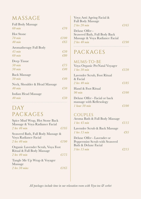#### MASSAGE

| <b>Full Body Massage</b>      |                |
|-------------------------------|----------------|
| $60 \text{ min}$              | €70            |
| <b>Hot Stone</b>              |                |
| $70 \text{ min}$              | $\epsilon$ 100 |
| $40$ min                      | €65            |
| Aromatherapy Full Body        |                |
| $45 \text{ min}$              | €50            |
| $60$ min                      | €80            |
| Deep Tissue                   |                |
| $50 \text{ min}$              | €75            |
| $30 \text{ min}$              | €40            |
| <b>Back Massage</b>           |                |
| $30 \text{ min}$              | €40            |
| Neck, Shoulder & Head Massage |                |
| $40$ min                      | €50            |
| Indian Head Massage           |                |
| $40 \text{ min}$              | €50            |
|                               |                |

## DAY PACKAGES

| Spice Mud Wrap, Hot Stone Back                                  |      |
|-----------------------------------------------------------------|------|
| Massage & Voya Radiance Facial                                  |      |
| $2$ hrs $40$ min                                                | £195 |
| Seaweed Bath, Full Body Massage &<br>Voya Radiance Facial       |      |
| $2$ hrs $40$ min                                                | £190 |
| Organic Lavender Scrub, Voya Foot<br>Ritual & Full Body Massage |      |
| $2$ hrs $40$ min                                                | £175 |

Tangle Me Up Wrap & Voyager Massage *2 hrs 30 mins €165*

| Voya Anti Ageing Facial &      |                |
|--------------------------------|----------------|
| <b>Full Body Massage</b>       |                |
| 2 hrs 20 min                   | $\epsilon$ 165 |
| Deluxe Offer -                 |                |
| Seaweed Bath, Full Body Back   |                |
| Massage & Voya Radiance Facial |                |
| 2 hrs 40 min                   | $\epsilon$ 190 |
|                                |                |

#### PACKAGES

| MUMS-TO-BE<br>Voya Organic PreNatal Voyager<br>$1$ hrs 30 min                  | £120 |
|--------------------------------------------------------------------------------|------|
| Lavender Scrub, Foot Ritual<br>& Facial<br>$2$ hrs $40$ min                    | €185 |
| Hand & Foot Ritual<br>$90 \text{ min}$                                         | €100 |
| Deluxe Offer - Facial or back<br>massage with Reflexology<br>$1$ hour $30$ min |      |

#### COUPLES

| Aroma Bath & Full Body Massage |                |
|--------------------------------|----------------|
| $1$ hrs $45$ min               | $\epsilon$ 115 |
| Lavender Scrub & Back Massage  |                |
| $1$ hrs $15$ min               | $\epsilon$ 95  |
| Deluxe Offer - Lavender or     |                |
| Peppermint Scrub with Seaweed  |                |
| Bath & Deluxe Facial           |                |
| <i>3 hrs 15 min</i>            | £215           |
|                                |                |

*All packages include time in our relaxation room with Voya tea & sorbet*